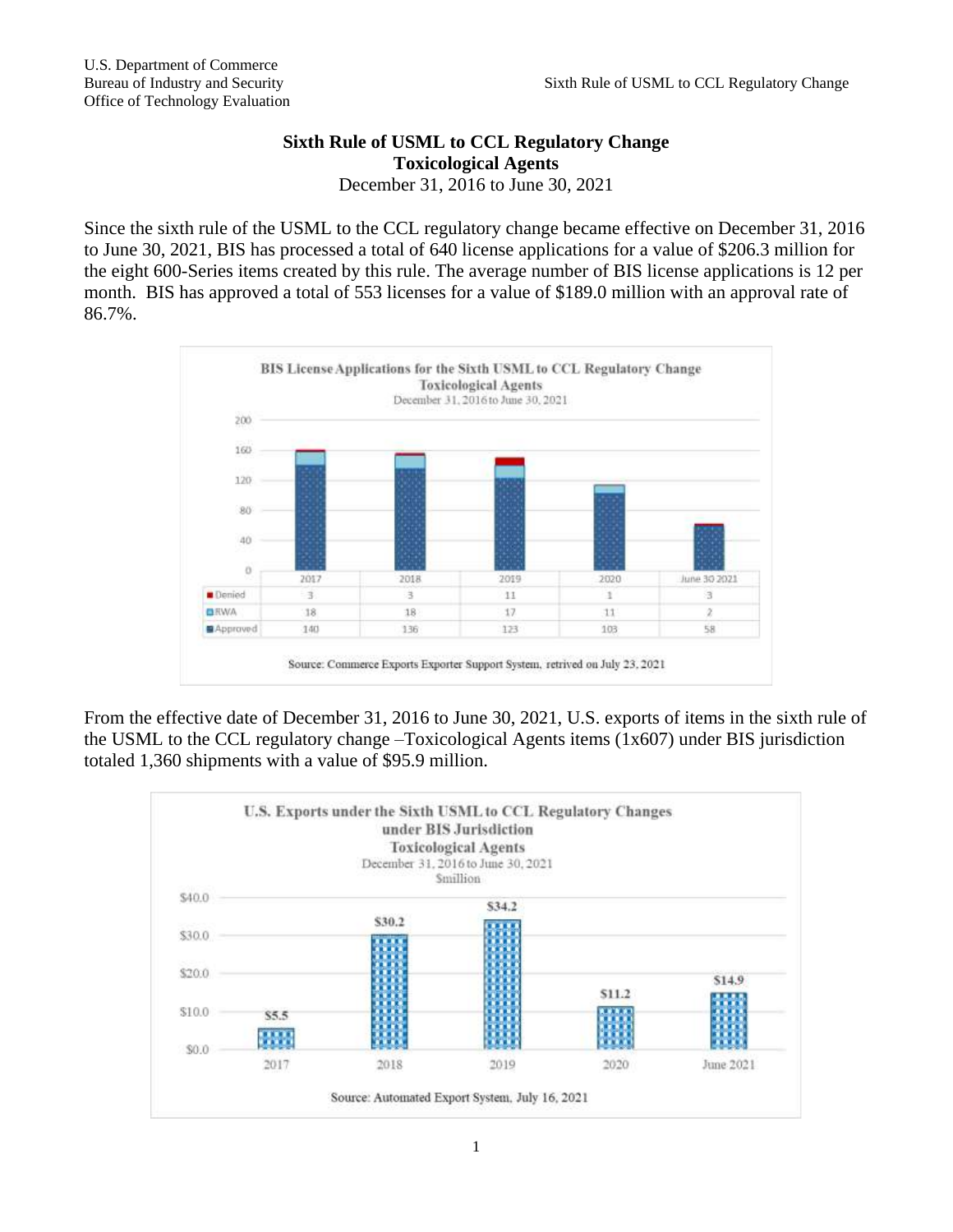## **Sixth Rule of USML to CCL Regulatory Change Toxicological Agents** December 31, 2016 to June 30, 2021

Since the sixth rule of the USML to the CCL regulatory change became effective on December 31, 2016 to June 30, 2021, BIS has processed a total of 640 license applications for a value of \$206.3 million for the eight 600-Series items created by this rule. The average number of BIS license applications is 12 per month. BIS has approved a total of 553 licenses for a value of \$189.0 million with an approval rate of 86.7%.



From the effective date of December 31, 2016 to June 30, 2021, U.S. exports of items in the sixth rule of the USML to the CCL regulatory change –Toxicological Agents items (1x607) under BIS jurisdiction totaled 1,360 shipments with a value of \$95.9 million.

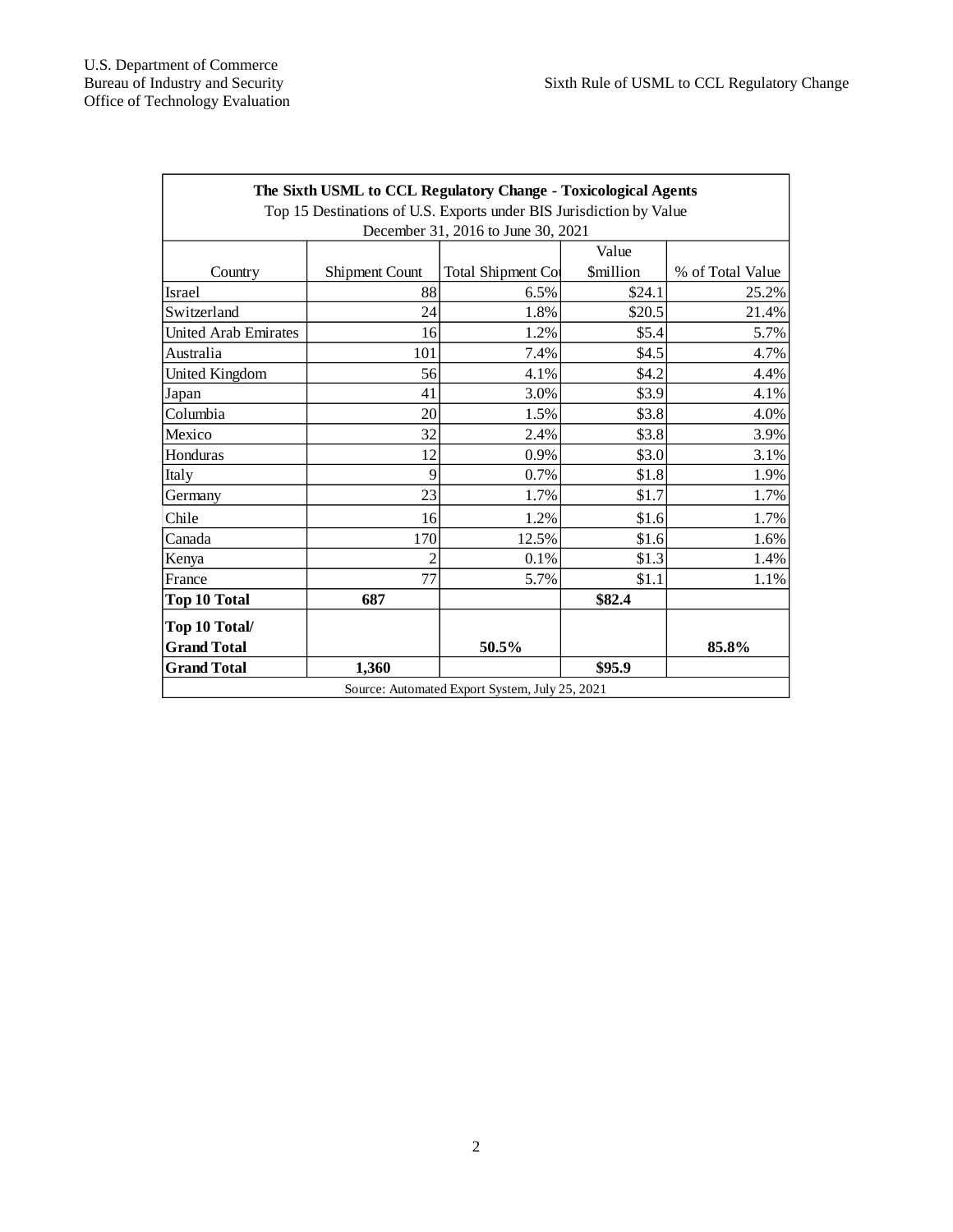| The Sixth USML to CCL Regulatory Change - Toxicological Agents      |                       |                           |                 |                  |
|---------------------------------------------------------------------|-----------------------|---------------------------|-----------------|------------------|
| Top 15 Destinations of U.S. Exports under BIS Jurisdiction by Value |                       |                           |                 |                  |
| December 31, 2016 to June 30, 2021                                  |                       |                           |                 |                  |
|                                                                     |                       |                           | Value           |                  |
| Country                                                             | <b>Shipment Count</b> | <b>Total Shipment Cor</b> | <b>Smillion</b> | % of Total Value |
| <b>Israel</b>                                                       | 88                    | 6.5%                      | \$24.1          | 25.2%            |
| Switzerland                                                         | 24                    | 1.8%                      | \$20.5          | 21.4%            |
| United Arab Emirates                                                | 16                    | 1.2%                      | \$5.4           | 5.7%             |
| Australia                                                           | 101                   | 7.4%                      | \$4.5           | 4.7%             |
| United Kingdom                                                      | 56                    | 4.1%                      | \$4.2           | 4.4%             |
| Japan                                                               | 41                    | 3.0%                      | \$3.9           | 4.1%             |
| Columbia                                                            | 20                    | 1.5%                      | \$3.8           | 4.0%             |
| Mexico                                                              | 32                    | 2.4%                      | \$3.8           | 3.9%             |
| Honduras                                                            | 12                    | 0.9%                      | \$3.0           | 3.1%             |
| Italy                                                               | 9                     | 0.7%                      | \$1.8           | 1.9%             |
| Germany                                                             | 23                    | 1.7%                      | \$1.7           | 1.7%             |
| Chile                                                               | 16                    | 1.2%                      | \$1.6           | 1.7%             |
| Canada                                                              | 170                   | 12.5%                     | \$1.6           | 1.6%             |
| Kenya                                                               | $\overline{c}$        | 0.1%                      | \$1.3           | 1.4%             |
| France                                                              | 77                    | 5.7%                      | \$1.1           | 1.1%             |
| <b>Top 10 Total</b>                                                 | 687                   |                           | \$82.4          |                  |
| Top 10 Total/                                                       |                       |                           |                 |                  |
| <b>Grand Total</b>                                                  |                       | 50.5%                     |                 | 85.8%            |
| <b>Grand Total</b>                                                  | 1,360                 |                           | \$95.9          |                  |
| Source: Automated Export System, July 25, 2021                      |                       |                           |                 |                  |